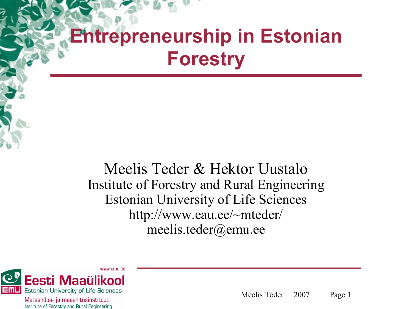# **Entrepreneurship in Estonian Forestry**

Meelis Teder & Hektor Uustalo Institute of Forestry and Rural Engineering Estonian University of Life Sciences http://www.eau.ee/~mteder/ meelis.teder@emu.ee



Metsandus- ja maaehitusinstituut Institute of Forestry and Rural Engineering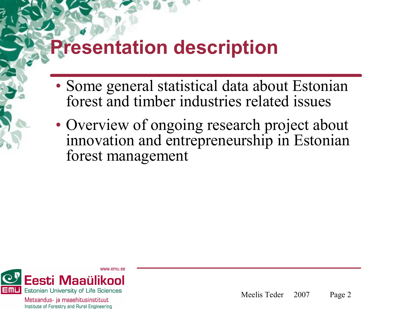#### **Presentation description**

- Some general statistical data about Estonian forest and timber industries related issues
- Overview of ongoing research project about innovation and entrepreneurship in Estonian forest management

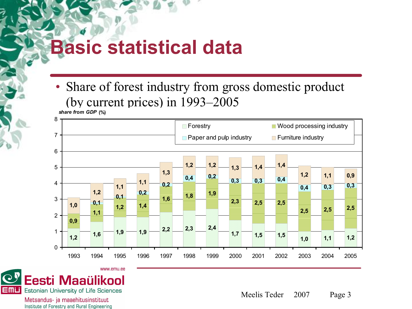#### **Basic statistical data**

• Share of forest industry from gross domestic product (by current prices) in 1993–2005





Metsandus- ja maaehitusinstituut Institute of Forestry and Rural Engineering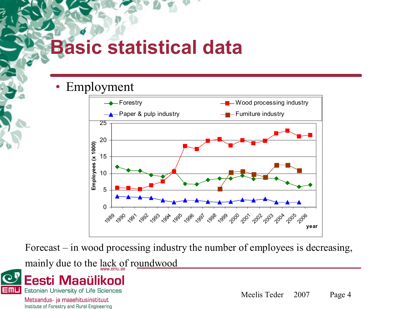## **Basic statistical data**

• Employment



Forecast – in wood processing industry the number of employees is decreasing,

mainly due to the lack of roundwood



Metsandus- ja maaehitusinstituut Institute of Forestry and Rural Engineering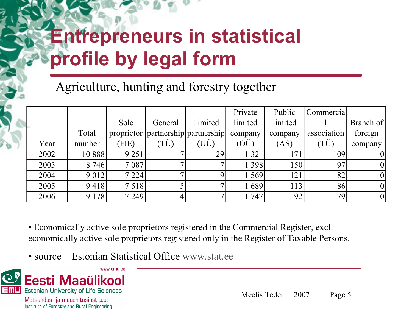# **Entrepreneurs in statistical profile by legal form**

Agriculture, hunting and forestry together

|      |         |            |                     |                         | Private       | Public          | Commercial  |           |
|------|---------|------------|---------------------|-------------------------|---------------|-----------------|-------------|-----------|
|      |         | Sole       | General             | Limited                 | limited       | limited         |             | Branch of |
|      | Total   | proprietor |                     | partnership partnership | company       | company         | association | foreign   |
| Year | number  | (FIE)      | $(T\dot{\text{U}})$ | (UÜ)                    | $(O\ddot{U})$ | (AS)            | (TÜ)        | company   |
| 2002 | 10 888  | 9 2 5 1    |                     | 29                      | 1 3 2 1       | 171             | 109         |           |
| 2003 | 8 7 4 6 | 7 0 8 7    |                     |                         | 1 3 9 8       | 150             | 97          |           |
| 2004 | 9 0 1 2 | 7 2 2 4    |                     |                         | 1 569         | 121             | 82          |           |
| 2005 | 9418    | 7518       |                     |                         | 1689          | 113             | 86          |           |
| 2006 | 9 1 7 8 | 7 2 4 9    | 4                   |                         | 1 747         | 92 <sub>1</sub> | 79          |           |

• Economically active sole proprietors registered in the Commercial Register, excl. economically active sole proprietors registered only in the Register of Taxable Persons.

• source – Estonian Statistical Office [www.stat.ee](http://www.stat.ee/)

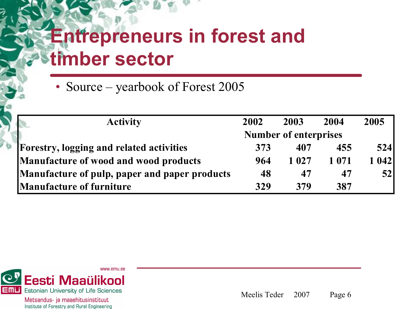## **Entrepreneurs in forest and timber sector**

• Source – yearbook of Forest 2005

| <b>Activity</b>                                 | 2002 | 2003                         | 2004    | 2005   |
|-------------------------------------------------|------|------------------------------|---------|--------|
|                                                 |      | <b>Number of enterprises</b> |         |        |
| <b>Forestry, logging and related activities</b> | 373  | 407                          | 455     | 524    |
| Manufacture of wood and wood products           | 964  | 1 0 2 7                      | 1 0 7 1 | 1 0421 |
| Manufacture of pulp, paper and paper products   | 48   | 47                           | 47      | 52     |
| <b>Manufacture of furniture</b>                 | 329  | 379                          | 387     |        |

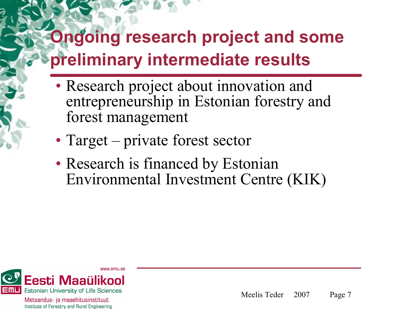### **Ongoing research project and some preliminary intermediate results**

- Research project about innovation and entrepreneurship in Estonian forestry and forest management
- Target private forest sector
- Research is financed by Estonian Environmental Investment Centre (KIK)

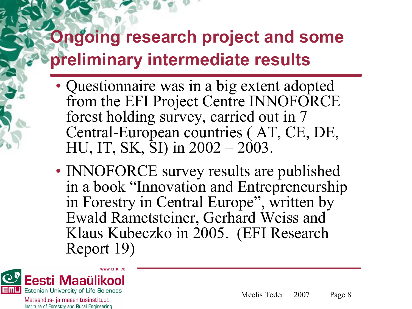#### **Ongoing research project and some preliminary intermediate results**

- Questionnaire was in a big extent adopted from the EFI Project Centre INNOFORCE forest holding survey, carried out in 7 Central-European countries (AT, CE, DE, HU, IT, SK, SI) in 2002 – 2003.
- INNOFORCE survey results are published in a book "Innovation and Entrepreneurship in Forestry in Central Europe", written by Ewald Rametsteiner, Gerhard Weiss and Klaus Kubeczko in 2005. (EFI Research Report 19)

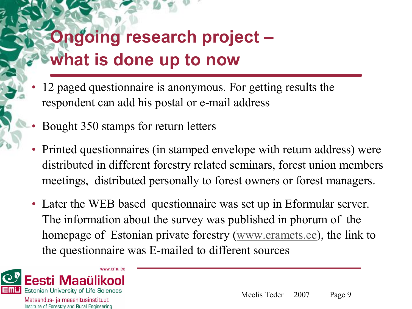## **Ongoing research project – what is done up to now**

- 12 paged questionnaire is anonymous. For getting results the respondent can add his postal or e-mail address
- Bought 350 stamps for return letters
- Printed questionnaires (in stamped envelope with return address) were distributed in different forestry related seminars, forest union members meetings, distributed personally to forest owners or forest managers.
- Later the WEB based questionnaire was set up in Eformular server. The information about the survey was published in phorum of the homepage of Estonian private forestry [\(www.eramets.ee](http://www.eramets.ee/)), the link to the questionnaire was E-mailed to different sources

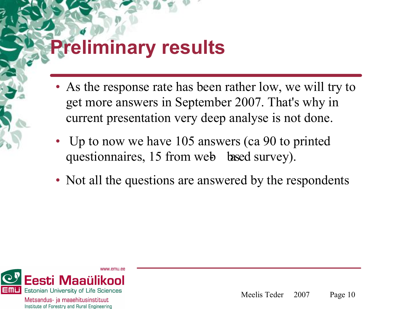## **Preliminary results**

- As the response rate has been rather low, we will try to get more answers in September 2007. That's why in current presentation very deep analyse is not done.
- Up to now we have 105 answers (ca 90 to printed questionnaires, 15 from web based survey).
- Not all the questions are answered by the respondents

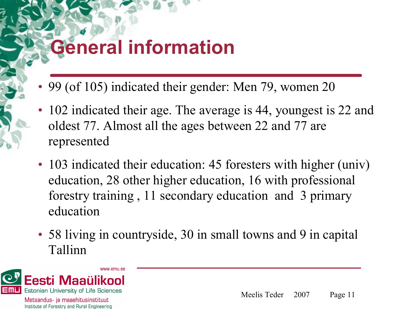# **General information**

- 99 (of 105) indicated their gender: Men 79, women 20
- 102 indicated their age. The average is 44, youngest is 22 and oldest 77. Almost all the ages between 22 and 77 are represented
- 103 indicated their education: 45 foresters with higher (univ) education, 28 other higher education, 16 with professional forestry training , 11 secondary education and 3 primary education
- 58 living in countryside, 30 in small towns and 9 in capital Tallinn

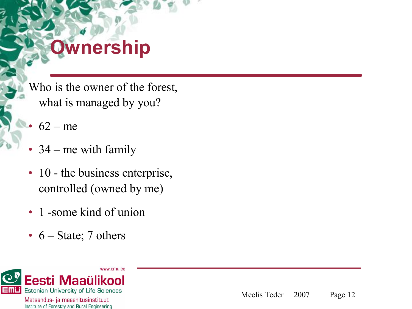# **Ownership**

Who is the owner of the forest, what is managed by you?

- $62 me$
- 34 me with family
- 10 the business enterprise, controlled (owned by me)
- 1 -some kind of union
- $6 State$ ; 7 others

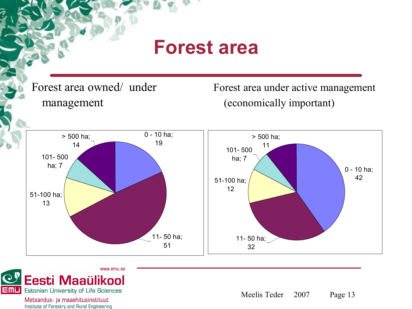#### **Forest area**

Forest area owned/ under management

Forest area under active management (economically important)





Metsandus- ja maaehitusinstituut Institute of Forestry and Rural Engineering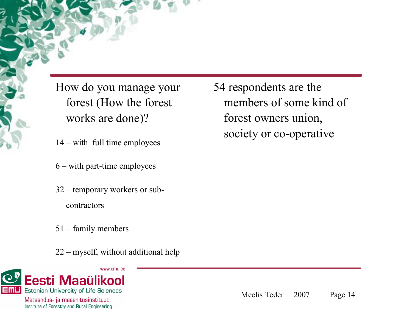How do you manage your forest (How the forest works are done)?

- 14 with full time employees
- $6$  with part-time employees
- 32 temporary workers or sub contractors
- 51 family members
- 22 myself, without additional help



Metsandus- ja maaehitusinstituut Institute of Forestry and Rural Engineering 54 respondents are the members of some kind of forest owners union, society or co-operative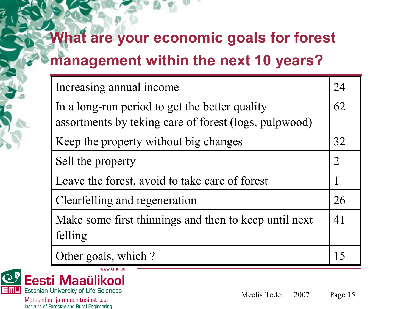#### **What are your economic goals for forest management within the next 10 years?**

| Increasing annual income                                                                                | 24             |
|---------------------------------------------------------------------------------------------------------|----------------|
| In a long-run period to get the better quality<br>assortments by teking care of forest (logs, pulpwood) | 62             |
| Keep the property without big changes                                                                   | 32             |
| Sell the property                                                                                       | $\overline{2}$ |
| Leave the forest, avoid to take care of forest                                                          |                |
| Clearfelling and regeneration                                                                           | 26             |
| Make some first thinnings and then to keep until next<br>felling                                        | 41             |
| Other goals, which?                                                                                     | 15             |



Meelis Teder 2007 Page 15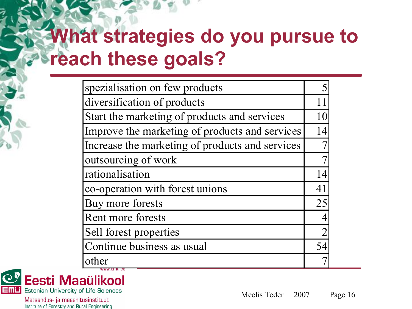# **What strategies do you pursue to reach these goals?**

| spezialisation on few products                  |    |
|-------------------------------------------------|----|
| diversification of products                     | 11 |
| Start the marketing of products and services    | 10 |
| Improve the marketing of products and services  | 14 |
| Increase the marketing of products and services |    |
| outsourcing of work                             |    |
| rationalisation                                 | 14 |
| co-operation with forest unions                 | 41 |
| Buy more forests                                | 25 |
| Rent more forests                               |    |
| Sell forest properties                          |    |
| Continue business as usual                      | 54 |
| other                                           |    |

C<sup>y</sup> Eesti Maaülikool **EMLI** Estonian University of Life Sciences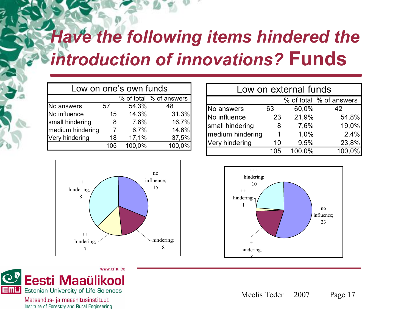### *Have the following items hindered the introduction of innovations?* **Funds**

| Low on one's own funds |                 |        |                         |  |  |  |
|------------------------|-----------------|--------|-------------------------|--|--|--|
|                        |                 |        | % of total % of answers |  |  |  |
| No answers             | 57              | 54,3%  | 48                      |  |  |  |
| No influence           | 15 <sub>1</sub> | 14,3%  | 31,3%                   |  |  |  |
| small hindering        | 8               | 7,6%   | 16,7%                   |  |  |  |
| medium hindering       |                 | 6,7%   | 14,6%                   |  |  |  |
| Very hindering         | 18              | 17,1%  | 37,5%                   |  |  |  |
|                        | 105             | 100,0% | 100,0%                  |  |  |  |



| www.emu.ee                                       |
|--------------------------------------------------|
| C <sup>y</sup> Eesti Maaülikool                  |
| <b>EMIL</b> Estonian University of Life Sciences |

Metsandus- ja maaehitusinstituut Institute of Forestry and Rural Engineering

| Low on external funds   |     |        |        |  |  |  |
|-------------------------|-----|--------|--------|--|--|--|
| % of total % of answers |     |        |        |  |  |  |
| No answers              | 63  | 60,0%  | 42     |  |  |  |
| No influence            | 23  | 21,9%  | 54,8%  |  |  |  |
| small hindering         | 8   | 7,6%   | 19,0%  |  |  |  |
| medium hindering        |     | 1,0%   | 2,4%   |  |  |  |
| Very hindering          | 10  | 9,5%   | 23,8%  |  |  |  |
|                         | 105 | 100,0% | 100,0% |  |  |  |

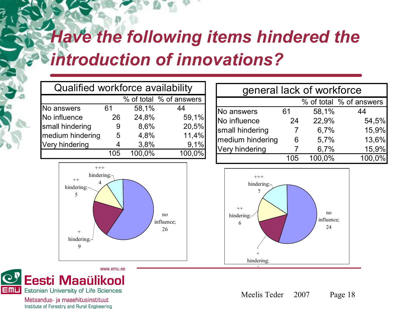### *Have the following items hindered the introduction of innovations?*

| Qualified workforce availability |     |        |        |  |  |  |
|----------------------------------|-----|--------|--------|--|--|--|
| % of total % of answers          |     |        |        |  |  |  |
| No answers                       | 61  | 58,1%  | 44     |  |  |  |
| No influence                     | 26  | 24,8%  | 59,1%  |  |  |  |
| small hindering                  | 9   | 8,6%   | 20,5%  |  |  |  |
| medium hindering                 | 5   | 4,8%   | 11,4%  |  |  |  |
| Very hindering                   |     | 3,8%   | 9,1%   |  |  |  |
|                                  | 105 | 100,0% | 100,0% |  |  |  |



| general lack of workforce |     |        |        |  |  |  |
|---------------------------|-----|--------|--------|--|--|--|
| % of total % of answers   |     |        |        |  |  |  |
| No answers                | 61  | 58,1%  | 44     |  |  |  |
| No influence              | 24  | 22,9%  | 54,5%  |  |  |  |
| small hindering           |     | 6,7%   | 15,9%  |  |  |  |
| medium hindering          | 6   | 5,7%   | 13,6%  |  |  |  |
| Very hindering            |     | 6,7%   | 15,9%  |  |  |  |
|                           | 105 | 100,0% | 100,0% |  |  |  |





Metsandus- ja maaehitusinstituut Institute of Forestry and Rural Engineering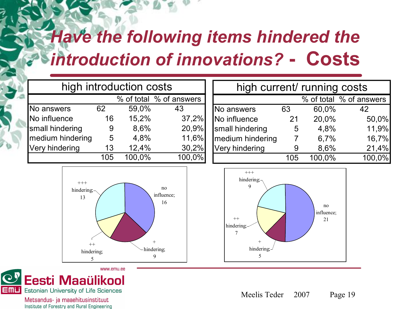### *Have the following items hindered the introduction of innovations?*  **Costs**

|                  |     | high introduction costs |                         |                |
|------------------|-----|-------------------------|-------------------------|----------------|
|                  |     |                         | % of total % of answers |                |
| No answers       | 62  | 59,0%                   | 43                      | N <sub>o</sub> |
| No influence     | 16  | 15,2%                   | 37,2%                   | <b>No</b>      |
| small hindering  | 9   | 8,6%                    | 20,9%                   | sm             |
| medium hindering | 5   | 4,8%                    | 11,6%                   | me             |
| Very hindering   | 13  | 12,4%                   | 30,2%                   | Ver            |
|                  | 105 | 100,0%                  | 100,0%                  |                |

| high current/ running costs |     |           |                         |  |  |  |
|-----------------------------|-----|-----------|-------------------------|--|--|--|
|                             |     |           | % of total % of answers |  |  |  |
| No answers                  | 63  | 60,0%     | 42                      |  |  |  |
| No influence                | 21  | 20,0%     | 50,0%                   |  |  |  |
| small hindering             | 5   | 4,8%      | 11,9%                   |  |  |  |
| medium hindering            |     | 6,7%      | 16,7%                   |  |  |  |
| Very hindering              |     | 8,6%      | 21,4%                   |  |  |  |
|                             | 105 | $100,0\%$ | 100,0%                  |  |  |  |







Metsandus- ja maaehitusinstituut Institute of Forestry and Rural Engineering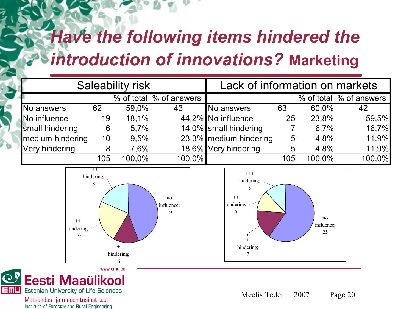## *Have the following items hindered the introduction of innovations?* **Marketing**

| <b>Saleability risk</b> |     |        |                         | Lack of information on markets |     |        |                         |
|-------------------------|-----|--------|-------------------------|--------------------------------|-----|--------|-------------------------|
|                         |     |        | % of total % of answers |                                |     |        | % of total % of answers |
| No answers              | 62  | 59,0%  | 43                      | No answers                     | 63  | 60,0%  | 42                      |
| No influence            | 19  | 18,1%  |                         | 44,2% No influence             | 25  | 23,8%  | 59,5%                   |
| small hindering         | 6   | 5,7%   |                         | 14,0% small hindering          |     | 6,7%   | 16,7%                   |
| medium hindering        | 10  | 9,5%   |                         | 23,3% medium hindering         | 5   | 4,8%   | 11,9%                   |
| Very hindering          | 8   | 7,6%   |                         | 18,6% Very hindering           | 5   | 4,8%   | 11,9%                   |
|                         | 105 | 100,0% | $100,0\%$               |                                | 105 | 100,0% | 100,0%                  |







Metsandus- ja maaehitusinstituut Institute of Forestry and Rural Engineering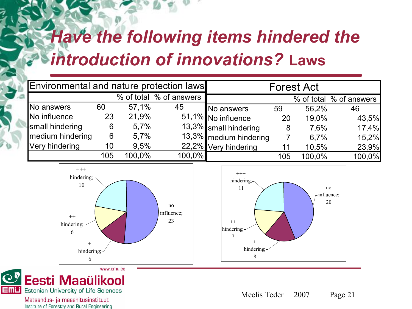## *Have the following items hindered the introduction of innovations?* **Laws**

| Environmental and nature protection laws |     |        |                         |                        |     | <b>Forest Act</b> |                         |
|------------------------------------------|-----|--------|-------------------------|------------------------|-----|-------------------|-------------------------|
|                                          |     |        | % of total % of answers |                        |     |                   | % of total % of answers |
| No answers                               | 60  | 57,1%  | 45                      | No answers             | 59  | 56,2%             | 46                      |
| No influence                             | 23  | 21,9%  |                         | 51,1% No influence     | 20  | 19,0%             | 43,5%                   |
| small hindering                          | 6   | 5,7%   |                         | 13,3% small hindering  | 8   | 7,6%              | 17,4%                   |
| medium hindering                         | 6   | 5,7%   |                         | 13,3% medium hindering |     | 6.7%              | 15,2%                   |
| Very hindering                           | 10  | 9,5%   |                         | 22,2% Very hindering   | 11  | 10,5%             | 23,9%                   |
|                                          | 105 | 100.0% | 100,0%                  |                        | 105 | 100,0%            | 100,0%                  |







Metsandus- ja maaehitusinstituut Institute of Forestry and Rural Engineering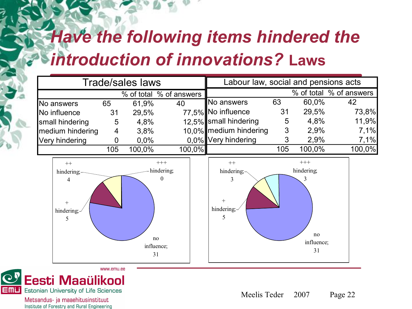## *Have the following items hindered the introduction of innovations?* **Laws**

|                  |     | <b>Trade/sales laws</b> |                         | Labour law, social and pensions acts |     |        |                         |
|------------------|-----|-------------------------|-------------------------|--------------------------------------|-----|--------|-------------------------|
|                  |     |                         | % of total % of answers |                                      |     |        | % of total % of answers |
| No answers       | 65  | 61,9%                   | 40                      | No answers                           | 63  | 60,0%  | 42                      |
| No influence     | 31  | 29,5%                   |                         | 77,5% No influence                   | 31  | 29,5%  | 73,8%                   |
| small hindering  | 5   | 4,8%                    |                         | 12,5% small hindering                | 5   | 4,8%   | 11,9%                   |
| medium hindering | 4   | 3.8%                    |                         | 10,0% medium hindering               | 3   | 2,9%   | 7.1%                    |
| Very hindering   |     | 0,0%                    |                         | 0,0% Very hindering                  | 3   | 2,9%   | 7,1%                    |
|                  | 105 | 100.0%                  | 100,0%                  |                                      | 105 | 100,0% | $100,0\%$               |







Metsandus- ja maaehitusinstituut Institute of Forestry and Rural Engineering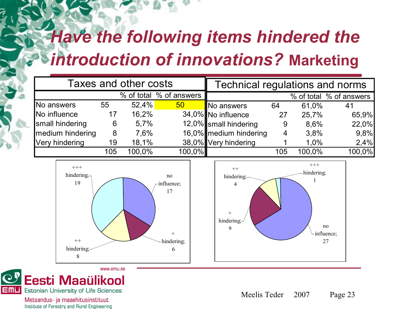## *Have the following items hindered the introduction of innovations?* **Marketing**

|                  | Taxes and other costs<br>% of total % of answers<br>52,4%<br>55<br>50 <sub>2</sub><br>16,2%<br>17<br>5,7%<br>6<br>7,6%<br>8 |        |           | Technical regulations and norms |     |        |                         |  |  |
|------------------|-----------------------------------------------------------------------------------------------------------------------------|--------|-----------|---------------------------------|-----|--------|-------------------------|--|--|
|                  |                                                                                                                             |        |           |                                 |     |        | % of total % of answers |  |  |
| No answers       |                                                                                                                             |        |           | No answers                      | 64  | 61,0%  | 41                      |  |  |
| No influence     |                                                                                                                             |        |           | 34,0% No influence              | 27  | 25,7%  | 65,9%                   |  |  |
| small hindering  |                                                                                                                             |        |           | 12,0% small hindering           | 9   | 8.6%   | 22,0%                   |  |  |
| medium hindering |                                                                                                                             |        |           | 16,0% medium hindering          | 4   | 3,8%   | 9,8%                    |  |  |
| Very hindering   | 19                                                                                                                          | 18,1%  |           | 38,0% Very hindering            |     | 1,0%   | 2,4%                    |  |  |
|                  | 105                                                                                                                         | 100,0% | $100,0\%$ |                                 | 105 | 100,0% | 100,0%                  |  |  |







Metsandus- ja maaehitusinstituut Institute of Forestry and Rural Engineering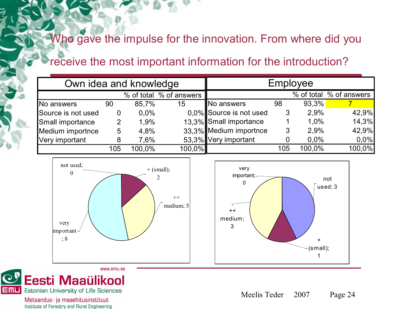#### Who gave the impulse for the innovation. From where did you

#### receive the most important information for the introduction?

| Own idea and knowledge |     |        |                         |                         |     | Employee |                         |
|------------------------|-----|--------|-------------------------|-------------------------|-----|----------|-------------------------|
|                        |     |        | % of total % of answers |                         |     |          | % of total % of answers |
| No answers             | 90  | 85,7%  | 15                      | No answers              | 98  | 93,3%    |                         |
| Source is not used     | 0   | 0,0%   |                         | 0.0% Source is not used | 3   | 2,9%     | 42,9%                   |
| Small importance       |     | 1.9%   |                         | 13,3% Small importance  |     | 1,0%     | 14,3%                   |
| Medium importnce       | 5   | 4,8%   |                         | 33,3% Medium importnce  | 3   | 2.9%     | 42,9%                   |
| Very important         | 8   | 7,6%   |                         | 53,3% Very important    |     | 0,0%     | 0,0%                    |
|                        | 105 | 100,0% | 100,0%                  |                         | 105 | 100,0%   | 100,0%                  |



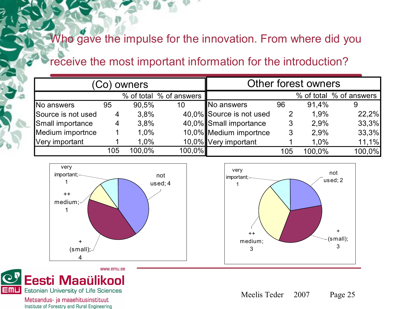#### Who gave the impulse for the innovation. From where did you

#### receive the most important information for the introduction?

|                    |     | Co) owners |                         |                          |                | Other forest owners |                         |
|--------------------|-----|------------|-------------------------|--------------------------|----------------|---------------------|-------------------------|
|                    |     |            | % of total % of answers |                          |                |                     | % of total % of answers |
| No answers         | 95  | 90.5%      | 10                      | No answers               | 96             | 91.4%               | 9                       |
| Source is not used | 4   | 3,8%       |                         | 40,0% Source is not used | $\overline{2}$ | 1,9%                | 22,2%                   |
| Small importance   | 4   | 3,8%       |                         | 40,0% Small importance   | 3              | 2.9%                | 33,3%                   |
| Medium importnce   |     | 1,0%       |                         | 10,0% Medium importnce   | 3              | 2.9%                | 33,3%                   |
| Very important     |     | 1,0%       |                         | 10,0% Very important     |                | 1,0%                | 11,1%                   |
|                    | 105 | 100,0%     | 100,0%                  |                          | 105            | 100,0%              | 100,0%                  |





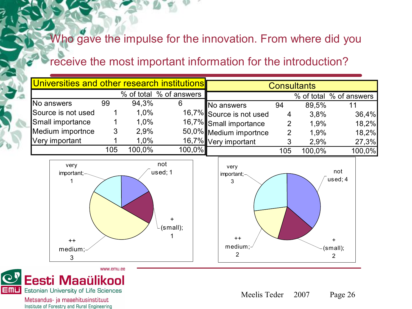#### Who gave the impulse for the innovation. From where did you

#### receive the most important information for the introduction?

| Universities and other research institutions |     |        |                         |                          |                | <b>Consultants</b> |                         |
|----------------------------------------------|-----|--------|-------------------------|--------------------------|----------------|--------------------|-------------------------|
|                                              |     |        | % of total % of answers |                          |                |                    | % of total % of answers |
| No answers                                   | 99  | 94,3%  | 6                       | No answers               | 94             | 89,5%              | 11                      |
| Source is not used                           |     | 1,0%   |                         | 16,7% Source is not used | 4              | 3.8%               | 36,4%                   |
| Small importance                             |     | 1,0%   |                         | 16,7% Small importance   | $\overline{2}$ | 1,9%               | 18,2%                   |
| Medium importnce                             | 3   | 2,9%   |                         | 50,0% Medium importnce   | 2              | 1,9%               | 18,2%                   |
| Very important                               |     | 1,0%   |                         | 16,7% Very important     | 3              | 2,9%               | 27,3%                   |
|                                              | 105 | 100.0% | 100,0%                  |                          | 105            | 100,0%             | 100,0%                  |
| very<br>important;-                          |     |        | not<br>used; 1          | very<br>important;-<br>3 |                |                    | not<br>used; 4          |





Metsandus- ja maaehitusinstituut Institute of Forestry and Rural Engineering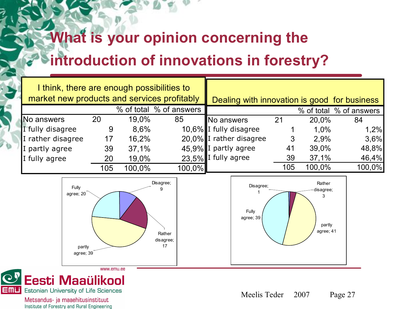### **What is your opinion concerning the introduction of innovations in forestry?**

| I think, there are enough possibilities to<br>market new products and services profitably |     |        |                         | Dealing with innovation is good for business |     |        |                         |
|-------------------------------------------------------------------------------------------|-----|--------|-------------------------|----------------------------------------------|-----|--------|-------------------------|
|                                                                                           |     |        | % of total % of answers |                                              |     |        | % of total % of answers |
| No answers                                                                                | 20  | 19,0%  | 85                      | No answers                                   | 21  | 20,0%  | 84                      |
| I fully disagree                                                                          | 9   | 8,6%   |                         | 10,6% I fully disagree                       |     | 1,0%   | 1,2%                    |
| I rather disagree                                                                         | 17  | 16,2%  |                         | 20,0% I rather disagree                      |     | 2.9%   | 3,6%                    |
| I partly agree                                                                            | 39  | 37,1%  |                         | 45,9% I partly agree                         | 41  | 39,0%  | 48,8%                   |
| I fully agree                                                                             | 20  | 19,0%  |                         | 23,5% I fully agree                          | 39  | 37,1%  | 46,4%                   |
|                                                                                           | 105 | 100,0% | 100,0%                  |                                              | 105 | 100,0% | 100,0%                  |







Metsandus- ja maaehitusinstituut Institute of Forestry and Rural Engineering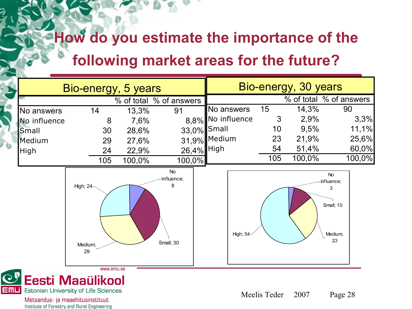#### **How do you estimate the importance of the**

#### **following market areas for the future?**

|              |                            | Bio-energy, 5 years |                                           |                   |     | Bio-energy, 30 years    |                                                     |
|--------------|----------------------------|---------------------|-------------------------------------------|-------------------|-----|-------------------------|-----------------------------------------------------|
|              |                            |                     | % of total % of answers                   |                   |     | % of total % of answers |                                                     |
| No answers   | 14                         | 13,3%               | 91                                        | No answers        | 15  | 14,3%                   | 90                                                  |
| No influence | 8                          | 7,6%                |                                           | 8,8% No influence | 3   | 2,9%                    | 3,3%                                                |
| Small        | 30                         | 28,6%               | 33,0% Small                               |                   | 10  | 9,5%                    | 11,1%                                               |
| Medium       | 29                         | 27,6%               |                                           | 31,9% Medium      | 23  | 21,9%                   | 25,6%                                               |
| High         | 24                         | 22,9%               | 26,4% High                                |                   | 54  | 51,4%                   | 60,0%                                               |
|              | 105                        | 100,0%              | 100,0%                                    |                   | 105 | 100,0%                  | 100,0%                                              |
|              | High; 24-<br>Medium;<br>29 |                     | <b>No</b><br>influence;<br>8<br>Small; 30 | High; 54-         |     |                         | No<br>influence;<br>3<br>Small; 10<br>Medium;<br>23 |

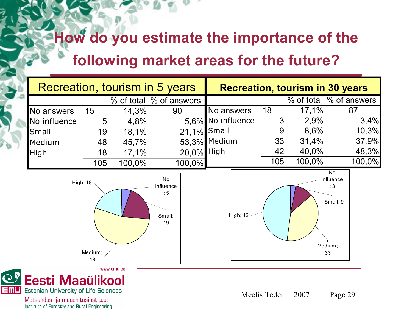# **How do you estimate the importance of the**

#### **following market areas for the future?**

| Recreation, tourism in 5 years |                               |        |                                        |                   |     |               | <b>Recreation, tourism in 30 years</b>    |
|--------------------------------|-------------------------------|--------|----------------------------------------|-------------------|-----|---------------|-------------------------------------------|
|                                |                               |        | % of total % of answers                |                   |     |               | % of total % of answers                   |
| No answers                     | 15                            | 14,3%  | 90                                     | No answers        | 18  | 17,1%         | 87                                        |
| No influence                   | 5                             | 4,8%   |                                        | 5,6% No influence | 3   | 2,9%          | 3,4%                                      |
| Small                          | 19                            | 18,1%  | 21,1% Small                            |                   | 9   | 8,6%          | 10,3%                                     |
| Medium                         | 48                            | 45,7%  |                                        | 53,3% Medium      | 33  | 31,4%         | 37,9%                                     |
| High                           | 18                            | 17,1%  | 20,0% High                             |                   | 42  | 40,0%         | 48,3%                                     |
|                                | 105                           | 100,0% | 100,0%                                 |                   | 105 | 100,0%        | 100,0%                                    |
|                                | High; $18 -$<br>Medium;<br>48 |        | No<br>influence<br>; 5<br>Small;<br>19 | High; 42-         |     | Medium;<br>33 | <b>No</b><br>influence<br>; 3<br>Small; 9 |



Metsandus- ja maaehitusinstituut Institute of Forestry and Rural Engineering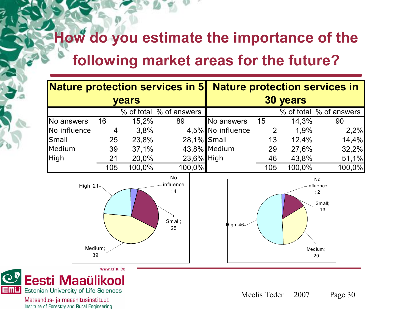#### **How do you estimate the importance of the following market areas for the future?**





Metsandus- ja maaehitusinstituut Institute of Forestry and Rural Engineering